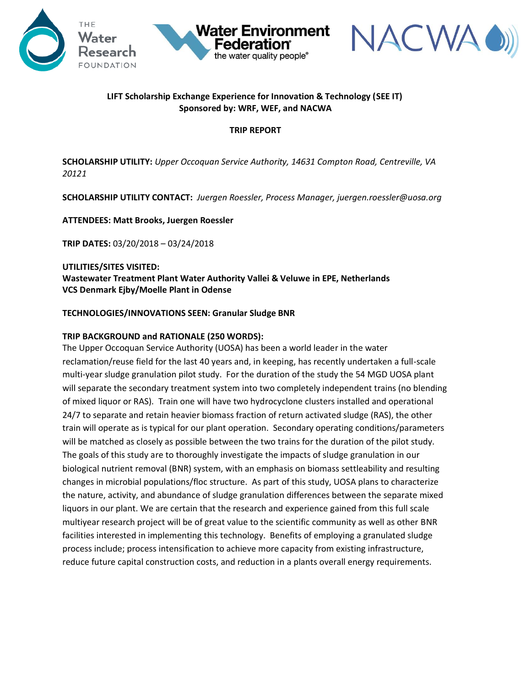





# **LIFT Scholarship Exchange Experience for Innovation & Technology (SEE IT) Sponsored by: WRF, WEF, and NACWA**

#### **TRIP REPORT**

**SCHOLARSHIP UTILITY:** *Upper Occoquan Service Authority, 14631 Compton Road, Centreville, VA 20121*

**SCHOLARSHIP UTILITY CONTACT:** *Juergen Roessler, Process Manager, juergen.roessler@uosa.org*

### **ATTENDEES: Matt Brooks, Juergen Roessler**

**TRIP DATES:** 03/20/2018 – 03/24/2018

# **UTILITIES/SITES VISITED: Wastewater Treatment Plan[t Water Authority Vallei & Veluwe](http://www.vallei-veluwe.nl/) in EPE, Netherlands VCS Denmark Ejby/Moelle Plant in Odense**

### **TECHNOLOGIES/INNOVATIONS SEEN: Granular Sludge BNR**

### **TRIP BACKGROUND and RATIONALE (250 WORDS):**

The Upper Occoquan Service Authority (UOSA) has been a world leader in the water reclamation/reuse field for the last 40 years and, in keeping, has recently undertaken a full-scale multi-year sludge granulation pilot study. For the duration of the study the 54 MGD UOSA plant will separate the secondary treatment system into two completely independent trains (no blending of mixed liquor or RAS). Train one will have two hydrocyclone clusters installed and operational 24/7 to separate and retain heavier biomass fraction of return activated sludge (RAS), the other train will operate as is typical for our plant operation. Secondary operating conditions/parameters will be matched as closely as possible between the two trains for the duration of the pilot study. The goals of this study are to thoroughly investigate the impacts of sludge granulation in our biological nutrient removal (BNR) system, with an emphasis on biomass settleability and resulting changes in microbial populations/floc structure. As part of this study, UOSA plans to characterize the nature, activity, and abundance of sludge granulation differences between the separate mixed liquors in our plant. We are certain that the research and experience gained from this full scale multiyear research project will be of great value to the scientific community as well as other BNR facilities interested in implementing this technology. Benefits of employing a granulated sludge process include; process intensification to achieve more capacity from existing infrastructure, reduce future capital construction costs, and reduction in a plants overall energy requirements.